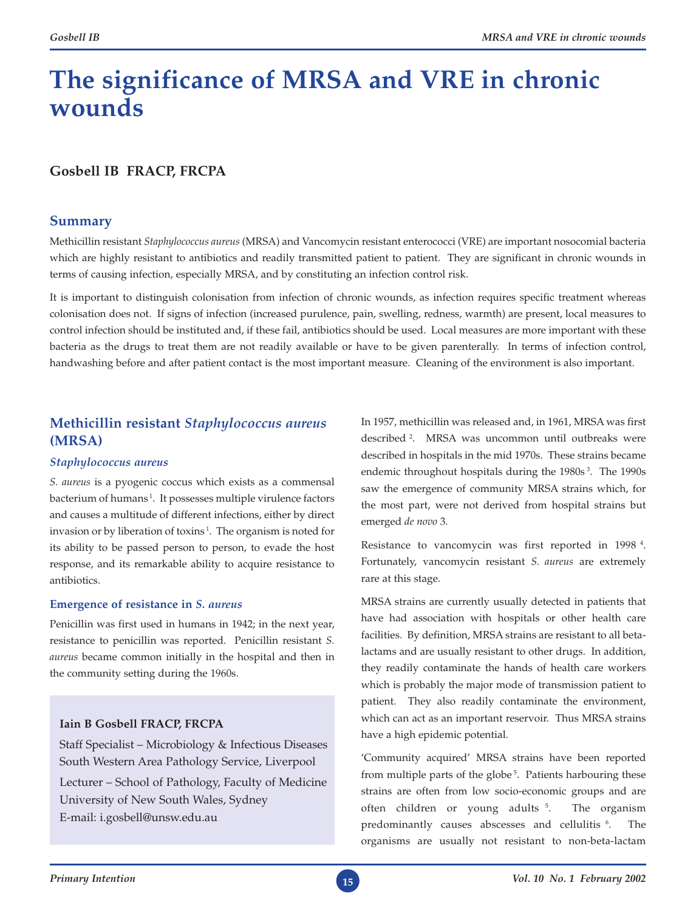# **The significance of MRSA and VRE in chronic wounds**

# **Gosbell IB FRACP, FRCPA**

# **Summary**

Methicillin resistant *Staphylococcus aureus* (MRSA) and Vancomycin resistant enterococci (VRE) are important nosocomial bacteria which are highly resistant to antibiotics and readily transmitted patient to patient. They are significant in chronic wounds in terms of causing infection, especially MRSA, and by constituting an infection control risk.

It is important to distinguish colonisation from infection of chronic wounds, as infection requires specific treatment whereas colonisation does not. If signs of infection (increased purulence, pain, swelling, redness, warmth) are present, local measures to control infection should be instituted and, if these fail, antibiotics should be used. Local measures are more important with these bacteria as the drugs to treat them are not readily available or have to be given parenterally. In terms of infection control, handwashing before and after patient contact is the most important measure. Cleaning of the environment is also important.

# **Methicillin resistant** *Staphylococcus aureus*  **(MRSA)**

# *Staphylococcus aureus*

*S. aureus* is a pyogenic coccus which exists as a commensal bacterium of humans<sup>1</sup>. It possesses multiple virulence factors and causes a multitude of different infections, either by direct invasion or by liberation of toxins<sup>1</sup>. The organism is noted for its ability to be passed person to person, to evade the host response, and its remarkable ability to acquire resistance to antibiotics.

# **Emergence of resistance in** *S. aureus*

Penicillin was first used in humans in 1942; in the next year, resistance to penicillin was reported. Penicillin resistant *S. aureus* became common initially in the hospital and then in the community setting during the 1960s.

# **Iain B Gosbell FRACP, FRCPA**

Staff Specialist – Microbiology & Infectious Diseases South Western Area Pathology Service, Liverpool Lecturer – School of Pathology, Faculty of Medicine University of New South Wales, Sydney E-mail: i.gosbell@unsw.edu.au

In 1957, methicillin was released and, in 1961, MRSA was first described 2. MRSA was uncommon until outbreaks were described in hospitals in the mid 1970s. These strains became endemic throughout hospitals during the 1980s<sup>3</sup>. The 1990s saw the emergence of community MRSA strains which, for the most part, were not derived from hospital strains but emerged *de novo* 3.

Resistance to vancomycin was first reported in 1998 4. Fortunately, vancomycin resistant *S. aureus* are extremely rare at this stage.

MRSA strains are currently usually detected in patients that have had association with hospitals or other health care facilities. By definition, MRSA strains are resistant to all betalactams and are usually resistant to other drugs. In addition, they readily contaminate the hands of health care workers which is probably the major mode of transmission patient to patient. They also readily contaminate the environment, which can act as an important reservoir. Thus MRSA strains have a high epidemic potential.

'Community acquired' MRSA strains have been reported from multiple parts of the globe<sup>5</sup>. Patients harbouring these strains are often from low socio-economic groups and are often children or young adults 5. The organism predominantly causes abscesses and cellulitis <sup>6</sup>. The organisms are usually not resistant to non-beta-lactam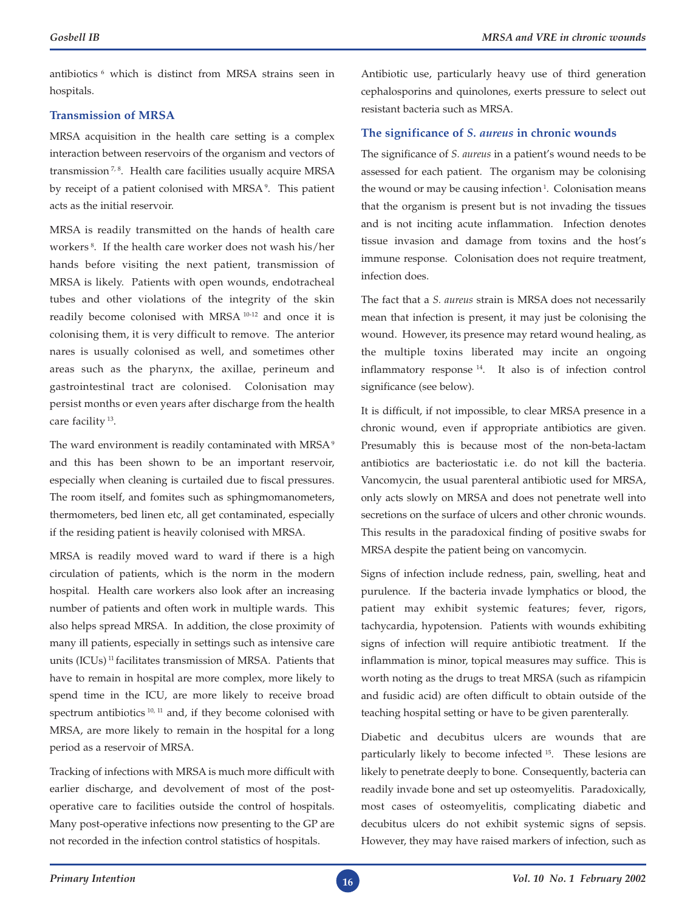antibiotics 6 which is distinct from MRSA strains seen in hospitals.

## **Transmission of MRSA**

MRSA acquisition in the health care setting is a complex interaction between reservoirs of the organism and vectors of transmission<sup>7,8</sup>. Health care facilities usually acquire MRSA by receipt of a patient colonised with MRSA<sup>9</sup>. This patient acts as the initial reservoir.

MRSA is readily transmitted on the hands of health care workers 8. If the health care worker does not wash his/her hands before visiting the next patient, transmission of MRSA is likely. Patients with open wounds, endotracheal tubes and other violations of the integrity of the skin readily become colonised with MRSA 10-12 and once it is colonising them, it is very difficult to remove. The anterior nares is usually colonised as well, and sometimes other areas such as the pharynx, the axillae, perineum and gastrointestinal tract are colonised. Colonisation may persist months or even years after discharge from the health care facility 13.

The ward environment is readily contaminated with MRSA<sup>9</sup> and this has been shown to be an important reservoir, especially when cleaning is curtailed due to fiscal pressures. The room itself, and fomites such as sphingmomanometers, thermometers, bed linen etc, all get contaminated, especially if the residing patient is heavily colonised with MRSA.

MRSA is readily moved ward to ward if there is a high circulation of patients, which is the norm in the modern hospital. Health care workers also look after an increasing number of patients and often work in multiple wards. This also helps spread MRSA. In addition, the close proximity of many ill patients, especially in settings such as intensive care units (ICUs) 11 facilitates transmission of MRSA. Patients that have to remain in hospital are more complex, more likely to spend time in the ICU, are more likely to receive broad spectrum antibiotics<sup>10, 11</sup> and, if they become colonised with MRSA, are more likely to remain in the hospital for a long period as a reservoir of MRSA.

Tracking of infections with MRSA is much more difficult with earlier discharge, and devolvement of most of the postoperative care to facilities outside the control of hospitals. Many post-operative infections now presenting to the GP are not recorded in the infection control statistics of hospitals.

Antibiotic use, particularly heavy use of third generation cephalosporins and quinolones, exerts pressure to select out resistant bacteria such as MRSA.

### **The significance of** *S. aureus* **in chronic wounds**

The significance of *S. aureus* in a patient's wound needs to be assessed for each patient. The organism may be colonising the wound or may be causing infection<sup>1</sup>. Colonisation means that the organism is present but is not invading the tissues and is not inciting acute inflammation. Infection denotes tissue invasion and damage from toxins and the host's immune response. Colonisation does not require treatment, infection does.

The fact that a *S. aureus* strain is MRSA does not necessarily mean that infection is present, it may just be colonising the wound. However, its presence may retard wound healing, as the multiple toxins liberated may incite an ongoing inflammatory response 14. It also is of infection control significance (see below).

It is difficult, if not impossible, to clear MRSA presence in a chronic wound, even if appropriate antibiotics are given. Presumably this is because most of the non-beta-lactam antibiotics are bacteriostatic i.e. do not kill the bacteria. Vancomycin, the usual parenteral antibiotic used for MRSA, only acts slowly on MRSA and does not penetrate well into secretions on the surface of ulcers and other chronic wounds. This results in the paradoxical finding of positive swabs for MRSA despite the patient being on vancomycin.

Signs of infection include redness, pain, swelling, heat and purulence. If the bacteria invade lymphatics or blood, the patient may exhibit systemic features; fever, rigors, tachycardia, hypotension. Patients with wounds exhibiting signs of infection will require antibiotic treatment. If the inflammation is minor, topical measures may suffice. This is worth noting as the drugs to treat MRSA (such as rifampicin and fusidic acid) are often difficult to obtain outside of the teaching hospital setting or have to be given parenterally.

Diabetic and decubitus ulcers are wounds that are particularly likely to become infected 15. These lesions are likely to penetrate deeply to bone. Consequently, bacteria can readily invade bone and set up osteomyelitis. Paradoxically, most cases of osteomyelitis, complicating diabetic and decubitus ulcers do not exhibit systemic signs of sepsis. However, they may have raised markers of infection, such as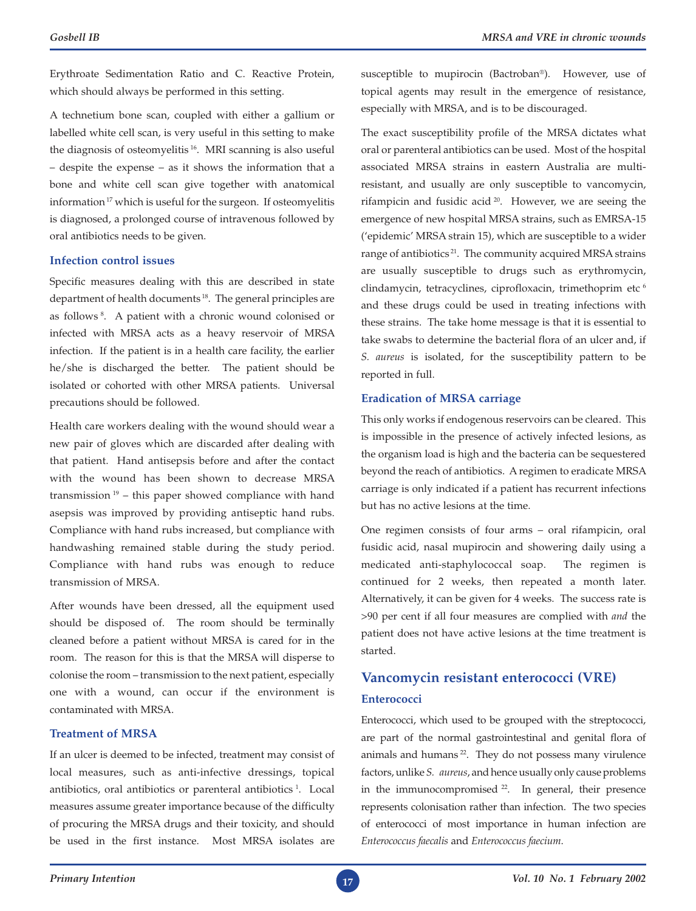Erythroate Sedimentation Ratio and C. Reactive Protein, which should always be performed in this setting.

A technetium bone scan, coupled with either a gallium or labelled white cell scan, is very useful in this setting to make the diagnosis of osteomyelitis 16. MRI scanning is also useful – despite the expense – as it shows the information that a bone and white cell scan give together with anatomical information 17 which is useful for the surgeon. If osteomyelitis is diagnosed, a prolonged course of intravenous followed by oral antibiotics needs to be given.

#### **Infection control issues**

Specific measures dealing with this are described in state department of health documents 18. The general principles are as follows 8. A patient with a chronic wound colonised or infected with MRSA acts as a heavy reservoir of MRSA infection. If the patient is in a health care facility, the earlier he/she is discharged the better. The patient should be isolated or cohorted with other MRSA patients. Universal precautions should be followed.

Health care workers dealing with the wound should wear a new pair of gloves which are discarded after dealing with that patient. Hand antisepsis before and after the contact with the wound has been shown to decrease MRSA transmission  $19$  – this paper showed compliance with hand asepsis was improved by providing antiseptic hand rubs. Compliance with hand rubs increased, but compliance with handwashing remained stable during the study period. Compliance with hand rubs was enough to reduce transmission of MRSA.

After wounds have been dressed, all the equipment used should be disposed of. The room should be terminally cleaned before a patient without MRSA is cared for in the room. The reason for this is that the MRSA will disperse to colonise the room – transmission to the next patient, especially one with a wound, can occur if the environment is contaminated with MRSA.

#### **Treatment of MRSA**

If an ulcer is deemed to be infected, treatment may consist of local measures, such as anti-infective dressings, topical antibiotics, oral antibiotics or parenteral antibiotics<sup>1</sup>. Local measures assume greater importance because of the difficulty of procuring the MRSA drugs and their toxicity, and should be used in the first instance. Most MRSA isolates are

susceptible to mupirocin (Bactroban®). However, use of topical agents may result in the emergence of resistance, especially with MRSA, and is to be discouraged.

The exact susceptibility profile of the MRSA dictates what oral or parenteral antibiotics can be used. Most of the hospital associated MRSA strains in eastern Australia are multiresistant, and usually are only susceptible to vancomycin, rifampicin and fusidic acid 20. However, we are seeing the emergence of new hospital MRSA strains, such as EMRSA-15 ('epidemic' MRSA strain 15), which are susceptible to a wider range of antibiotics<sup>21</sup>. The community acquired MRSA strains are usually susceptible to drugs such as erythromycin, clindamycin, tetracyclines, ciprofloxacin, trimethoprim etc<sup>6</sup> and these drugs could be used in treating infections with these strains. The take home message is that it is essential to take swabs to determine the bacterial flora of an ulcer and, if *S. aureus* is isolated, for the susceptibility pattern to be reported in full.

#### **Eradication of MRSA carriage**

This only works if endogenous reservoirs can be cleared. This is impossible in the presence of actively infected lesions, as the organism load is high and the bacteria can be sequestered beyond the reach of antibiotics. A regimen to eradicate MRSA carriage is only indicated if a patient has recurrent infections but has no active lesions at the time.

One regimen consists of four arms – oral rifampicin, oral fusidic acid, nasal mupirocin and showering daily using a medicated anti-staphylococcal soap. The regimen is continued for 2 weeks, then repeated a month later. Alternatively, it can be given for 4 weeks. The success rate is >90 per cent if all four measures are complied with *and* the patient does not have active lesions at the time treatment is started.

# **Vancomycin resistant enterococci (VRE) Enterococci**

Enterococci, which used to be grouped with the streptococci, are part of the normal gastrointestinal and genital flora of animals and humans 22. They do not possess many virulence factors, unlike *S. aureus*, and hence usually only cause problems in the immunocompromised <sup>22</sup>. In general, their presence represents colonisation rather than infection. The two species of enterococci of most importance in human infection are *Enterococcus faecalis* and *Enterococcus faecium*.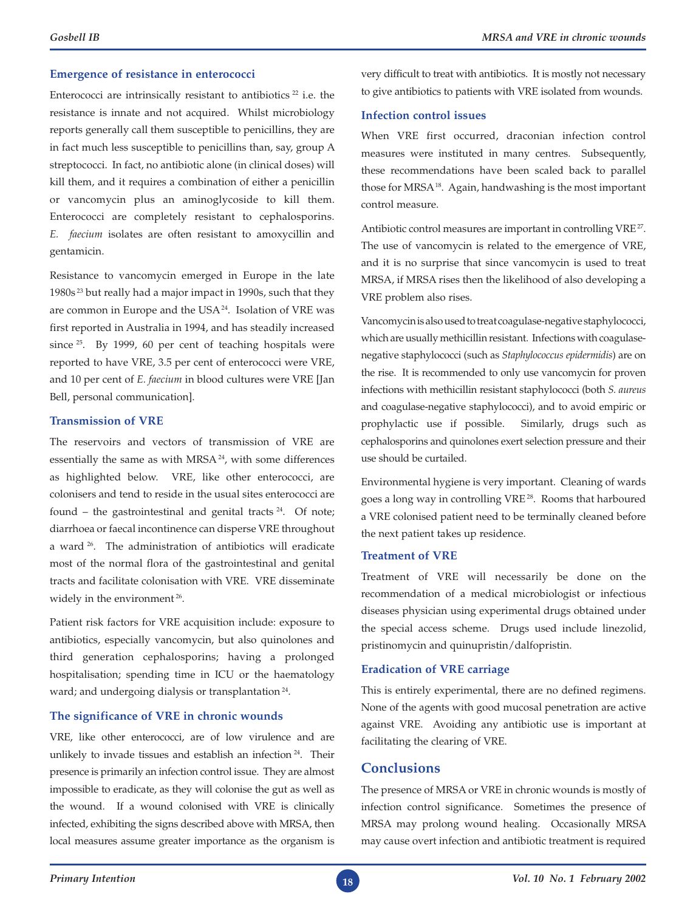## **Emergence of resistance in enterococci**

Enterococci are intrinsically resistant to antibiotics  $22$  i.e. the resistance is innate and not acquired. Whilst microbiology reports generally call them susceptible to penicillins, they are in fact much less susceptible to penicillins than, say, group A streptococci. In fact, no antibiotic alone (in clinical doses) will kill them, and it requires a combination of either a penicillin or vancomycin plus an aminoglycoside to kill them. Enterococci are completely resistant to cephalosporins. *E. faecium* isolates are often resistant to amoxycillin and gentamicin.

Resistance to vancomycin emerged in Europe in the late 1980s 23 but really had a major impact in 1990s, such that they are common in Europe and the USA<sup>24</sup>. Isolation of VRE was first reported in Australia in 1994, and has steadily increased since <sup>25</sup>. By 1999, 60 per cent of teaching hospitals were reported to have VRE, 3.5 per cent of enterococci were VRE, and 10 per cent of *E. faecium* in blood cultures were VRE [Jan Bell, personal communication].

# **Transmission of VRE**

The reservoirs and vectors of transmission of VRE are essentially the same as with MRSA<sup>24</sup>, with some differences as highlighted below. VRE, like other enterococci, are colonisers and tend to reside in the usual sites enterococci are found – the gastrointestinal and genital tracts  $24$ . Of note; diarrhoea or faecal incontinence can disperse VRE throughout a ward 26. The administration of antibiotics will eradicate most of the normal flora of the gastrointestinal and genital tracts and facilitate colonisation with VRE. VRE disseminate widely in the environment<sup>26</sup>.

Patient risk factors for VRE acquisition include: exposure to antibiotics, especially vancomycin, but also quinolones and third generation cephalosporins; having a prolonged hospitalisation; spending time in ICU or the haematology ward; and undergoing dialysis or transplantation<sup>24</sup>.

#### **The significance of VRE in chronic wounds**

VRE, like other enterococci, are of low virulence and are unlikely to invade tissues and establish an infection 24. Their presence is primarily an infection control issue. They are almost impossible to eradicate, as they will colonise the gut as well as the wound. If a wound colonised with VRE is clinically infected, exhibiting the signs described above with MRSA, then local measures assume greater importance as the organism is

very difficult to treat with antibiotics. It is mostly not necessary to give antibiotics to patients with VRE isolated from wounds.

#### **Infection control issues**

When VRE first occurred, draconian infection control measures were instituted in many centres. Subsequently, these recommendations have been scaled back to parallel those for MRSA<sup>18</sup>. Again, handwashing is the most important control measure.

Antibiotic control measures are important in controlling VRE 27. The use of vancomycin is related to the emergence of VRE, and it is no surprise that since vancomycin is used to treat MRSA, if MRSA rises then the likelihood of also developing a VRE problem also rises.

Vancomycin is also used to treat coagulase-negative staphylococci, which are usually methicillin resistant. Infections with coagulasenegative staphylococci (such as *Staphylococcus epidermidis*) are on the rise. It is recommended to only use vancomycin for proven infections with methicillin resistant staphylococci (both *S. aureus* and coagulase-negative staphylococci), and to avoid empiric or prophylactic use if possible. Similarly, drugs such as cephalosporins and quinolones exert selection pressure and their use should be curtailed.

Environmental hygiene is very important. Cleaning of wards goes a long way in controlling VRE 28. Rooms that harboured a VRE colonised patient need to be terminally cleaned before the next patient takes up residence.

#### **Treatment of VRE**

Treatment of VRE will necessarily be done on the recommendation of a medical microbiologist or infectious diseases physician using experimental drugs obtained under the special access scheme. Drugs used include linezolid, pristinomycin and quinupristin/dalfopristin.

# **Eradication of VRE carriage**

This is entirely experimental, there are no defined regimens. None of the agents with good mucosal penetration are active against VRE. Avoiding any antibiotic use is important at facilitating the clearing of VRE.

# **Conclusions**

The presence of MRSA or VRE in chronic wounds is mostly of infection control significance. Sometimes the presence of MRSA may prolong wound healing. Occasionally MRSA may cause overt infection and antibiotic treatment is required